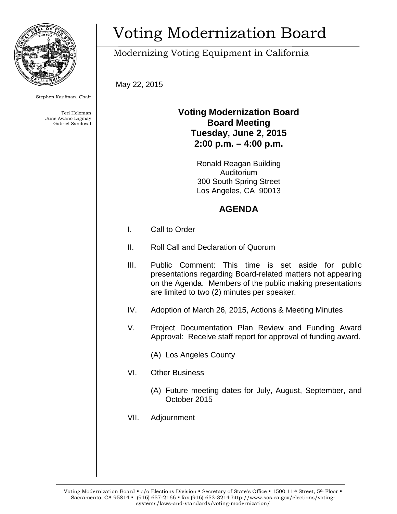

Stephen Kaufman, Chair

Teri Holoman June Awano Lagmay Gabriel Sandoval

# Voting Modernization Board

## Modernizing Voting Equipment in California

May 22, 2015

#### **Voting Modernization Board Board Meeting Tuesday, June 2, 2015 2:00 p.m. – 4:00 p.m.**

Ronald Reagan Building Auditorium 300 South Spring Street Los Angeles, CA 90013

### **AGENDA**

- I. Call to Order
- II. Roll Call and Declaration of Quorum
- III. Public Comment: This time is set aside for public presentations regarding Board-related matters not appearing on the Agenda. Members of the public making presentations are limited to two (2) minutes per speaker.
- IV. Adoption of March 26, 2015, Actions & Meeting Minutes
- V. Project Documentation Plan Review and Funding Award Approval: Receive staff report for approval of funding award.
	- (A) Los Angeles County
- VI. Other Business
	- (A) Future meeting dates for July, August, September, and October 2015
- VII. Adjournment